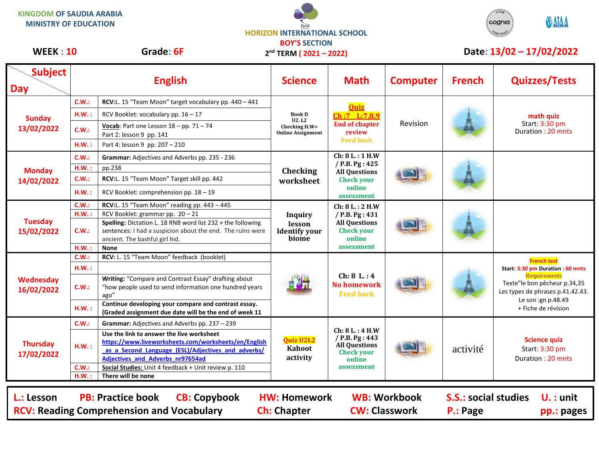**KINGDOM OF SAUDIA ARABIA MINISTRY OF EDUCATION**

**HORIZON INTERNATIONAL SCHOOL BOY'S SECTION 2 nd TERM ( 2021 – 2022)**



## **WEEK : 10** Grade: 6F 2<sup>nd</sup> TERM (2021 – 2022) Date: 13/02 – 17/02/2022

| <b>Subject</b><br><b>Day</b>                                                                                                                                                                                                                                                          |       | <b>English</b>                                                                                                                                              | <b>Science</b>                                                             | <b>Math</b>                                                                                            | <b>Computer</b> | <b>French</b> | <b>Quizzes/Tests</b>                                                                                                                                                                            |  |
|---------------------------------------------------------------------------------------------------------------------------------------------------------------------------------------------------------------------------------------------------------------------------------------|-------|-------------------------------------------------------------------------------------------------------------------------------------------------------------|----------------------------------------------------------------------------|--------------------------------------------------------------------------------------------------------|-----------------|---------------|-------------------------------------------------------------------------------------------------------------------------------------------------------------------------------------------------|--|
| <b>Sunday</b><br>13/02/2022                                                                                                                                                                                                                                                           | C.W.: | RCV:L. 15 "Team Moon" target vocabulary pp. 440 - 441                                                                                                       | <b>Book D</b><br><b>U2.L2</b><br>Checking H.W+<br><b>Online Assignment</b> | <b>Quiz</b><br>Ch:7 L:7,8,9<br><b>End of chapter</b><br>review<br><b>Feed back</b>                     | Revision        |               | math quiz<br>Start: 3:30 pm<br>Duration: 20 mnts                                                                                                                                                |  |
|                                                                                                                                                                                                                                                                                       | H.W.: | RCV Booklet: vocabulary pp. $16 - 17$                                                                                                                       |                                                                            |                                                                                                        |                 |               |                                                                                                                                                                                                 |  |
|                                                                                                                                                                                                                                                                                       | C.W.: | Vocab: Part one Lesson $18 - pp. 71 - 74$<br>Part 2: lesson 9 pp. 141                                                                                       |                                                                            |                                                                                                        |                 |               |                                                                                                                                                                                                 |  |
|                                                                                                                                                                                                                                                                                       | H.W.: | Part 4: lesson 9 pp. 207 - 210                                                                                                                              |                                                                            |                                                                                                        |                 |               |                                                                                                                                                                                                 |  |
| <b>Monday</b><br>14/02/2022                                                                                                                                                                                                                                                           | C.W.: | Grammar: Adjectives and Adverbs pp. 235 - 236                                                                                                               | Checking<br>worksheet                                                      | Ch: 8 L.: 1 H.W<br>/ P.B. Pg: 425<br><b>All Questions</b><br><b>Check your</b><br>online<br>assessment |                 |               |                                                                                                                                                                                                 |  |
|                                                                                                                                                                                                                                                                                       | H.W.: | pp.238                                                                                                                                                      |                                                                            |                                                                                                        |                 |               |                                                                                                                                                                                                 |  |
|                                                                                                                                                                                                                                                                                       | C.W.: | RCV:L. 15 "Team Moon" Target skill pp. 442                                                                                                                  |                                                                            |                                                                                                        |                 |               |                                                                                                                                                                                                 |  |
|                                                                                                                                                                                                                                                                                       | H.W.: | RCV Booklet: comprehension pp. 18 - 19                                                                                                                      |                                                                            |                                                                                                        |                 |               |                                                                                                                                                                                                 |  |
| <b>Tuesday</b><br>15/02/2022                                                                                                                                                                                                                                                          | C.W.: | RCV:L. 15 "Team Moon" reading pp. 443 - 445                                                                                                                 | <b>Inquiry</b><br>lesson<br><b>Identify your</b><br>biome                  | Ch: 8 L.: 2 H.W<br>/ P.B. Pg: 431<br><b>All Questions</b><br><b>Check your</b><br>online<br>assessment |                 |               |                                                                                                                                                                                                 |  |
|                                                                                                                                                                                                                                                                                       | H.W.: | RCV Booklet: grammar pp. 20 - 21                                                                                                                            |                                                                            |                                                                                                        |                 |               |                                                                                                                                                                                                 |  |
|                                                                                                                                                                                                                                                                                       | C.W.: | Spelling: Dictation L. 18 RNB word list 232 + the following<br>sentences: I had a suspicion about the end. The ruins were<br>ancient. The bashful girl hid. |                                                                            |                                                                                                        |                 |               |                                                                                                                                                                                                 |  |
|                                                                                                                                                                                                                                                                                       | H.W.: | <b>None</b>                                                                                                                                                 |                                                                            |                                                                                                        |                 |               |                                                                                                                                                                                                 |  |
|                                                                                                                                                                                                                                                                                       | C.W.: | RCV: L. 15 "Team Moon" feedback (booklet)                                                                                                                   |                                                                            | Ch: 8 L: 4<br><b>No homework</b><br><b>Feed back</b>                                                   |                 |               | <b>French test</b><br>Start: 3:30 pm Duration : 60 mnts<br><b>Requirements</b><br>Texte"le bon pêcheur p.34,35<br>Les types de phrases p.41.42.43.<br>Le son :gn p.48.49<br>+ Fiche de révision |  |
|                                                                                                                                                                                                                                                                                       | H.W.: |                                                                                                                                                             |                                                                            |                                                                                                        |                 |               |                                                                                                                                                                                                 |  |
| <b>Wednesday</b><br>16/02/2022                                                                                                                                                                                                                                                        | C.W.: | Writing: "Compare and Contrast Essay" drafting about<br>"how people used to send information one hundred years<br>ago"                                      |                                                                            |                                                                                                        |                 |               |                                                                                                                                                                                                 |  |
|                                                                                                                                                                                                                                                                                       | H.W.: | Continue developing your compare and contrast essay.<br>(Graded assignment due date will be the end of week 11                                              |                                                                            |                                                                                                        |                 |               |                                                                                                                                                                                                 |  |
|                                                                                                                                                                                                                                                                                       | C.W.: | Grammar: Adjectives and Adverbs pp. 237 - 239                                                                                                               |                                                                            |                                                                                                        |                 |               |                                                                                                                                                                                                 |  |
| <b>Thursday</b><br>17/02/2022                                                                                                                                                                                                                                                         | H.W.: | Use the link to answer the live worksheet<br>https://www.liveworksheets.com/worksheets/en/English<br>as a Second Language (ESL)/Adjectives and adverbs/     | <b>Quiz U2L2</b><br>Kahoot<br>activity                                     | Ch: 8 L.: 4 H.W<br>/ P.B. Pg: 443<br>All Questions<br><b>Check your</b><br>online<br>assessment        |                 | activité      | <b>Science quiz</b><br>Start: 3:30 pm<br>Duration: 20 mnts                                                                                                                                      |  |
|                                                                                                                                                                                                                                                                                       |       | Adjectives and Adverbs nr97654ad                                                                                                                            |                                                                            |                                                                                                        |                 |               |                                                                                                                                                                                                 |  |
|                                                                                                                                                                                                                                                                                       | C.W.: | Social Studies: Unit 4 feedback + Unit review p. 110                                                                                                        |                                                                            |                                                                                                        |                 |               |                                                                                                                                                                                                 |  |
|                                                                                                                                                                                                                                                                                       | H.W.: | There will be none                                                                                                                                          |                                                                            |                                                                                                        |                 |               |                                                                                                                                                                                                 |  |
| <b>S.S.: social studies</b><br><b>PB: Practice book</b><br><b>CB: Copybook</b><br><b>WB: Workbook</b><br>$U.$ : unit<br>L.: Lesson<br><b>HW: Homework</b><br><b>CW: Classwork</b><br><b>RCV: Reading Comprehension and Vocabulary</b><br><b>Ch: Chapter</b><br>P.: Page<br>pp.: pages |       |                                                                                                                                                             |                                                                            |                                                                                                        |                 |               |                                                                                                                                                                                                 |  |